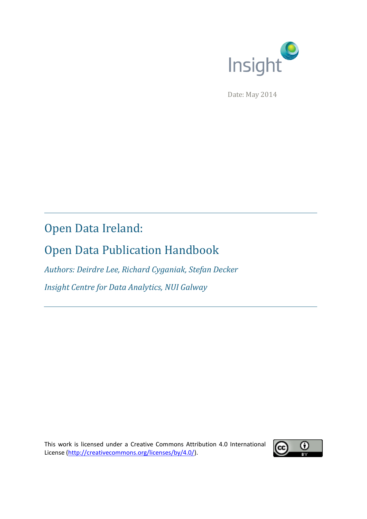

Date: May 2014

# Open Data Ireland:

# Open Data Publication Handbook

*Authors: Deirdre Lee, Richard Cyganiak, Stefan Decker Insight Centre for Data Analytics, NUI Galway*

This work is licensed under a Creative Commons Attribution 4.0 International License [\(http://creativecommons.org/licenses/by/4.0/\)](http://creativecommons.org/licenses/by/4.0/).

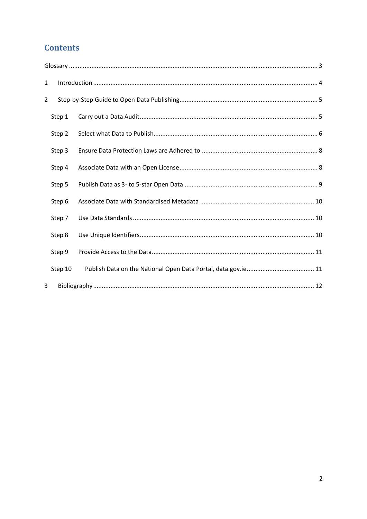# **Contents**

| 1 |         |  |
|---|---------|--|
| 2 |         |  |
|   | Step 1  |  |
|   | Step 2  |  |
|   | Step 3  |  |
|   | Step 4  |  |
|   | Step 5  |  |
|   | Step 6  |  |
|   | Step 7  |  |
|   | Step 8  |  |
|   | Step 9  |  |
|   | Step 10 |  |
| 3 |         |  |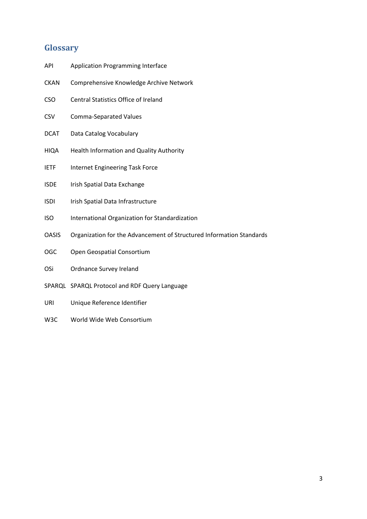# <span id="page-2-0"></span>**Glossary**

- API Application Programming Interface
- CKAN Comprehensive Knowledge Archive Network
- CSO Central Statistics Office of Ireland
- CSV Comma-Separated Values
- DCAT Data Catalog Vocabulary
- HIQA Health Information and Quality Authority
- IETF Internet Engineering Task Force
- ISDE Irish Spatial Data Exchange
- ISDI Irish Spatial Data Infrastructure
- ISO International Organization for Standardization
- OASIS Organization for the Advancement of Structured Information Standards
- OGC Open Geospatial Consortium
- OSi Ordnance Survey Ireland
- SPARQL SPARQL Protocol and RDF Query Language
- URI Unique Reference Identifier
- W3C World Wide Web Consortium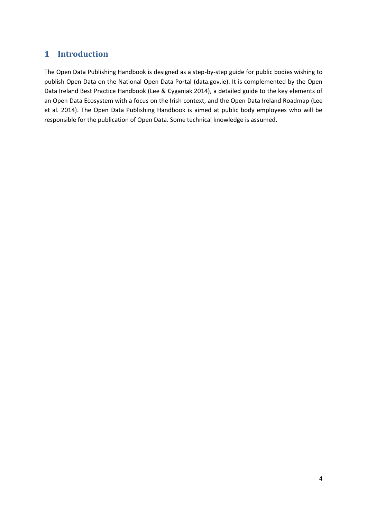# <span id="page-3-0"></span>**1 Introduction**

The Open Data Publishing Handbook is designed as a step-by-step guide for public bodies wishing to publish Open Data on the National Open Data Portal (data.gov.ie). It is complemented by the Open Data Ireland Best Practice Handbook (Lee & Cyganiak 2014), a detailed guide to the key elements of an Open Data Ecosystem with a focus on the Irish context, and the Open Data Ireland Roadmap (Lee et al. 2014). The Open Data Publishing Handbook is aimed at public body employees who will be responsible for the publication of Open Data. Some technical knowledge is assumed.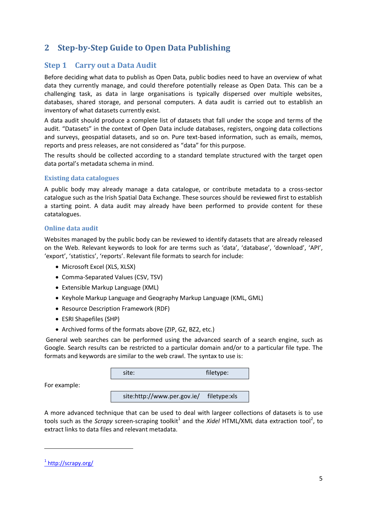# <span id="page-4-0"></span>**2 Step-by-Step Guide to Open Data Publishing**

### <span id="page-4-1"></span>**Step 1 Carry out a Data Audit**

Before deciding what data to publish as Open Data, public bodies need to have an overview of what data they currently manage, and could therefore potentially release as Open Data. This can be a challenging task, as data in large organisations is typically dispersed over multiple websites, databases, shared storage, and personal computers. A data audit is carried out to establish an inventory of what datasets currently exist.

A data audit should produce a complete list of datasets that fall under the scope and terms of the audit. "Datasets" in the context of Open Data include databases, registers, ongoing data collections and surveys, geospatial datasets, and so on. Pure text-based information, such as emails, memos, reports and press releases, are not considered as "data" for this purpose.

The results should be collected according to a standard template structured with the target open data portal's metadata schema in mind.

#### **Existing data catalogues**

A public body may already manage a data catalogue, or contribute metadata to a cross-sector catalogue such as the Irish Spatial Data Exchange. These sources should be reviewed first to establish a starting point. A data audit may already have been performed to provide content for these catatalogues.

#### **Online data audit**

Websites managed by the public body can be reviewed to identify datasets that are already released on the Web. Relevant keywords to look for are terms such as 'data', 'database', 'download', 'API', 'export', 'statistics', 'reports'. Relevant file formats to search for include:

- Microsoft Excel (XLS, XLSX)
- Comma-Separated Values (CSV, TSV)
- Extensible Markup Language (XML)
- Keyhole Markup Language and Geography Markup Language (KML, GML)
- Resource Description Framework (RDF)
- ESRI Shapefiles (SHP)
- Archived forms of the formats above (ZIP, GZ, BZ2, etc.)

General web searches can be performed using the advanced search of a search engine, such as Google. Search results can be restricted to a particular domain and/or to a particular file type. The formats and keywords are similar to the web crawl. The syntax to use is:

| site: | filetype:               |
|-------|-------------------------|
|       |                         |
|       | $\sim$ $\sim$<br>$\sim$ |

site:http://www.per.gov.ie/ filetype:xls

A more advanced technique that can be used to deal with largeer collections of datasets is to use tools such as the *Scrapy* screen-scraping toolkit<sup>1</sup> and the *Xidel* HTML/XML data extraction tool<sup>2</sup>, to extract links to data files and relevant metadata.

1

For example:

<sup>&</sup>lt;sup>1</sup> <http://scrapy.org/>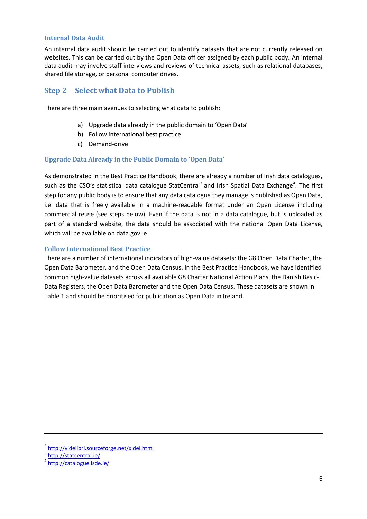#### **Internal Data Audit**

An internal data audit should be carried out to identify datasets that are not currently released on websites. This can be carried out by the Open Data officer assigned by each public body. An internal data audit may involve staff interviews and reviews of technical assets, such as relational databases, shared file storage, or personal computer drives.

### <span id="page-5-0"></span>**Step 2 Select what Data to Publish**

There are three main avenues to selecting what data to publish:

- a) Upgrade data already in the public domain to 'Open Data'
- b) Follow international best practice
- c) Demand-drive

#### **Upgrade Data Already in the Public Domain to 'Open Data'**

As demonstrated in the Best Practice Handbook, there are already a number of Irish data catalogues, such as the CSO's statistical data catalogue StatCentral<sup>3</sup> and Irish Spatial Data Exchange<sup>4</sup>. The first step for any public body is to ensure that any data catalogue they manage is published as Open Data, i.e. data that is freely available in a machine-readable format under an Open License including commercial reuse (see steps below). Even if the data is not in a data catalogue, but is uploaded as part of a standard website, the data should be associated with the national Open Data License, which will be available on data.gov.ie

#### **Follow International Best Practice**

There are a number of international indicators of high-value datasets: the G8 Open Data Charter, the Open Data Barometer, and the Open Data Census. In the Best Practice Handbook, we have identified common high-value datasets across all available G8 Charter National Action Plans, the Danish Basic-Data Registers, the Open Data Barometer and the Open Data Census. These datasets are shown in [Table 1](#page-6-0) and should be prioritised for publication as Open Data in Ireland.

1

<sup>&</sup>lt;sup>2</sup> <http://videlibri.sourceforge.net/xidel.html>

<sup>&</sup>lt;sup>3</sup> <http://statcentral.ie/>

<sup>4</sup> <http://catalogue.isde.ie/>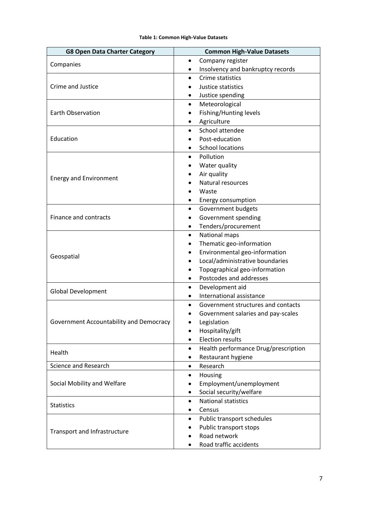| Table 1: Common High-Value Datasets |  |  |
|-------------------------------------|--|--|
|-------------------------------------|--|--|

<span id="page-6-0"></span>

| Company register<br>$\bullet$<br>Companies<br>Insolvency and bankruptcy records<br>٠<br>Crime statistics<br>٠<br>Crime and Justice<br>Justice statistics<br>$\bullet$<br>Justice spending<br>Meteorological<br>$\bullet$<br><b>Earth Observation</b><br>Fishing/Hunting levels<br>$\bullet$<br>Agriculture<br>School attendee<br>$\bullet$<br>Education<br>Post-education<br><b>School locations</b><br>Pollution<br>$\bullet$<br>Water quality<br>$\bullet$<br>Air quality<br><b>Energy and Environment</b><br>Natural resources<br>$\bullet$<br>Waste<br>Energy consumption<br>Government budgets<br>٠<br>Finance and contracts<br>Government spending<br>$\bullet$<br>Tenders/procurement<br>٠<br>National maps<br>$\bullet$<br>Thematic geo-information<br>٠<br>Environmental geo-information<br>٠<br>Geospatial<br>Local/administrative boundaries<br>٠<br>Topographical geo-information<br>٠<br>Postcodes and addresses<br>$\bullet$<br>Development aid<br>$\bullet$<br><b>Global Development</b><br>International assistance |
|-------------------------------------------------------------------------------------------------------------------------------------------------------------------------------------------------------------------------------------------------------------------------------------------------------------------------------------------------------------------------------------------------------------------------------------------------------------------------------------------------------------------------------------------------------------------------------------------------------------------------------------------------------------------------------------------------------------------------------------------------------------------------------------------------------------------------------------------------------------------------------------------------------------------------------------------------------------------------------------------------------------------------------------|
|                                                                                                                                                                                                                                                                                                                                                                                                                                                                                                                                                                                                                                                                                                                                                                                                                                                                                                                                                                                                                                     |
|                                                                                                                                                                                                                                                                                                                                                                                                                                                                                                                                                                                                                                                                                                                                                                                                                                                                                                                                                                                                                                     |
|                                                                                                                                                                                                                                                                                                                                                                                                                                                                                                                                                                                                                                                                                                                                                                                                                                                                                                                                                                                                                                     |
|                                                                                                                                                                                                                                                                                                                                                                                                                                                                                                                                                                                                                                                                                                                                                                                                                                                                                                                                                                                                                                     |
|                                                                                                                                                                                                                                                                                                                                                                                                                                                                                                                                                                                                                                                                                                                                                                                                                                                                                                                                                                                                                                     |
|                                                                                                                                                                                                                                                                                                                                                                                                                                                                                                                                                                                                                                                                                                                                                                                                                                                                                                                                                                                                                                     |
|                                                                                                                                                                                                                                                                                                                                                                                                                                                                                                                                                                                                                                                                                                                                                                                                                                                                                                                                                                                                                                     |
|                                                                                                                                                                                                                                                                                                                                                                                                                                                                                                                                                                                                                                                                                                                                                                                                                                                                                                                                                                                                                                     |
|                                                                                                                                                                                                                                                                                                                                                                                                                                                                                                                                                                                                                                                                                                                                                                                                                                                                                                                                                                                                                                     |
|                                                                                                                                                                                                                                                                                                                                                                                                                                                                                                                                                                                                                                                                                                                                                                                                                                                                                                                                                                                                                                     |
|                                                                                                                                                                                                                                                                                                                                                                                                                                                                                                                                                                                                                                                                                                                                                                                                                                                                                                                                                                                                                                     |
|                                                                                                                                                                                                                                                                                                                                                                                                                                                                                                                                                                                                                                                                                                                                                                                                                                                                                                                                                                                                                                     |
|                                                                                                                                                                                                                                                                                                                                                                                                                                                                                                                                                                                                                                                                                                                                                                                                                                                                                                                                                                                                                                     |
|                                                                                                                                                                                                                                                                                                                                                                                                                                                                                                                                                                                                                                                                                                                                                                                                                                                                                                                                                                                                                                     |
|                                                                                                                                                                                                                                                                                                                                                                                                                                                                                                                                                                                                                                                                                                                                                                                                                                                                                                                                                                                                                                     |
|                                                                                                                                                                                                                                                                                                                                                                                                                                                                                                                                                                                                                                                                                                                                                                                                                                                                                                                                                                                                                                     |
|                                                                                                                                                                                                                                                                                                                                                                                                                                                                                                                                                                                                                                                                                                                                                                                                                                                                                                                                                                                                                                     |
|                                                                                                                                                                                                                                                                                                                                                                                                                                                                                                                                                                                                                                                                                                                                                                                                                                                                                                                                                                                                                                     |
|                                                                                                                                                                                                                                                                                                                                                                                                                                                                                                                                                                                                                                                                                                                                                                                                                                                                                                                                                                                                                                     |
|                                                                                                                                                                                                                                                                                                                                                                                                                                                                                                                                                                                                                                                                                                                                                                                                                                                                                                                                                                                                                                     |
|                                                                                                                                                                                                                                                                                                                                                                                                                                                                                                                                                                                                                                                                                                                                                                                                                                                                                                                                                                                                                                     |
|                                                                                                                                                                                                                                                                                                                                                                                                                                                                                                                                                                                                                                                                                                                                                                                                                                                                                                                                                                                                                                     |
|                                                                                                                                                                                                                                                                                                                                                                                                                                                                                                                                                                                                                                                                                                                                                                                                                                                                                                                                                                                                                                     |
|                                                                                                                                                                                                                                                                                                                                                                                                                                                                                                                                                                                                                                                                                                                                                                                                                                                                                                                                                                                                                                     |
|                                                                                                                                                                                                                                                                                                                                                                                                                                                                                                                                                                                                                                                                                                                                                                                                                                                                                                                                                                                                                                     |
|                                                                                                                                                                                                                                                                                                                                                                                                                                                                                                                                                                                                                                                                                                                                                                                                                                                                                                                                                                                                                                     |
|                                                                                                                                                                                                                                                                                                                                                                                                                                                                                                                                                                                                                                                                                                                                                                                                                                                                                                                                                                                                                                     |
|                                                                                                                                                                                                                                                                                                                                                                                                                                                                                                                                                                                                                                                                                                                                                                                                                                                                                                                                                                                                                                     |
| Government structures and contacts<br>٠                                                                                                                                                                                                                                                                                                                                                                                                                                                                                                                                                                                                                                                                                                                                                                                                                                                                                                                                                                                             |
| Government salaries and pay-scales                                                                                                                                                                                                                                                                                                                                                                                                                                                                                                                                                                                                                                                                                                                                                                                                                                                                                                                                                                                                  |
| Government Accountability and Democracy<br>Legislation                                                                                                                                                                                                                                                                                                                                                                                                                                                                                                                                                                                                                                                                                                                                                                                                                                                                                                                                                                              |
| Hospitality/gift<br>٠                                                                                                                                                                                                                                                                                                                                                                                                                                                                                                                                                                                                                                                                                                                                                                                                                                                                                                                                                                                                               |
| <b>Election results</b><br>$\bullet$                                                                                                                                                                                                                                                                                                                                                                                                                                                                                                                                                                                                                                                                                                                                                                                                                                                                                                                                                                                                |
| Health performance Drug/prescription<br>$\bullet$<br>Health                                                                                                                                                                                                                                                                                                                                                                                                                                                                                                                                                                                                                                                                                                                                                                                                                                                                                                                                                                         |
| Restaurant hygiene                                                                                                                                                                                                                                                                                                                                                                                                                                                                                                                                                                                                                                                                                                                                                                                                                                                                                                                                                                                                                  |
| <b>Science and Research</b><br>Research<br>$\bullet$                                                                                                                                                                                                                                                                                                                                                                                                                                                                                                                                                                                                                                                                                                                                                                                                                                                                                                                                                                                |
| Housing<br>٠                                                                                                                                                                                                                                                                                                                                                                                                                                                                                                                                                                                                                                                                                                                                                                                                                                                                                                                                                                                                                        |
| Social Mobility and Welfare<br>Employment/unemployment                                                                                                                                                                                                                                                                                                                                                                                                                                                                                                                                                                                                                                                                                                                                                                                                                                                                                                                                                                              |
| Social security/welfare                                                                                                                                                                                                                                                                                                                                                                                                                                                                                                                                                                                                                                                                                                                                                                                                                                                                                                                                                                                                             |
| <b>National statistics</b><br>$\bullet$                                                                                                                                                                                                                                                                                                                                                                                                                                                                                                                                                                                                                                                                                                                                                                                                                                                                                                                                                                                             |
| <b>Statistics</b><br>Census                                                                                                                                                                                                                                                                                                                                                                                                                                                                                                                                                                                                                                                                                                                                                                                                                                                                                                                                                                                                         |
| Public transport schedules                                                                                                                                                                                                                                                                                                                                                                                                                                                                                                                                                                                                                                                                                                                                                                                                                                                                                                                                                                                                          |
| Public transport stops                                                                                                                                                                                                                                                                                                                                                                                                                                                                                                                                                                                                                                                                                                                                                                                                                                                                                                                                                                                                              |
| Transport and Infrastructure<br>Road network                                                                                                                                                                                                                                                                                                                                                                                                                                                                                                                                                                                                                                                                                                                                                                                                                                                                                                                                                                                        |
| Road traffic accidents                                                                                                                                                                                                                                                                                                                                                                                                                                                                                                                                                                                                                                                                                                                                                                                                                                                                                                                                                                                                              |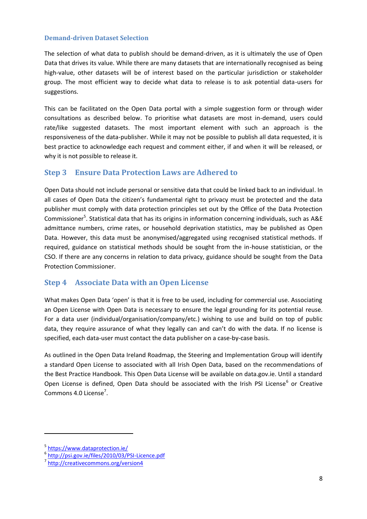#### **Demand-driven Dataset Selection**

The selection of what data to publish should be demand-driven, as it is ultimately the use of Open Data that drives its value. While there are many datasets that are internationally recognised as being high-value, other datasets will be of interest based on the particular jurisdiction or stakeholder group. The most efficient way to decide what data to release is to ask potential data-users for suggestions.

This can be facilitated on the Open Data portal with a simple suggestion form or through wider consultations as described below. To prioritise what datasets are most in-demand, users could rate/like suggested datasets. The most important element with such an approach is the responsiveness of the data-publisher. While it may not be possible to publish all data requested, it is best practice to acknowledge each request and comment either, if and when it will be released, or why it is not possible to release it.

### <span id="page-7-0"></span>**Step 3 Ensure Data Protection Laws are Adhered to**

Open Data should not include personal or sensitive data that could be linked back to an individual. In all cases of Open Data the citizen's fundamental right to privacy must be protected and the data publisher must comply with data protection principles set out by the Office of the Data Protection Commissioner<sup>5</sup>. Statistical data that has its origins in information concerning individuals, such as A&E admittance numbers, crime rates, or household deprivation statistics, may be published as Open Data. However, this data must be anonymised/aggregated using recognised statistical methods. If required, guidance on statistical methods should be sought from the in-house statistician, or the CSO. If there are any concerns in relation to data privacy, guidance should be sought from the Data Protection Commissioner.

### <span id="page-7-1"></span>**Step 4 Associate Data with an Open License**

What makes Open Data 'open' is that it is free to be used, including for commercial use. Associating an Open License with Open Data is necessary to ensure the legal grounding for its potential reuse. For a data user (individual/organisation/company/etc.) wishing to use and build on top of public data, they require assurance of what they legally can and can't do with the data. If no license is specified, each data-user must contact the data publisher on a case-by-case basis.

As outlined in the Open Data Ireland Roadmap, the Steering and Implementation Group will identify a standard Open License to associated with all Irish Open Data, based on the recommendations of the Best Practice Handbook. This Open Data License will be available on data.gov.ie. Until a standard Open License is defined, Open Data should be associated with the Irish PSI License<sup>6</sup> or Creative Commons 4.0 License<sup>7</sup>.

1

<sup>5</sup> <https://www.dataprotection.ie/>

<sup>6</sup> <http://psi.gov.ie/files/2010/03/PSI-Licence.pdf>

<sup>7</sup> <http://creativecommons.org/version4>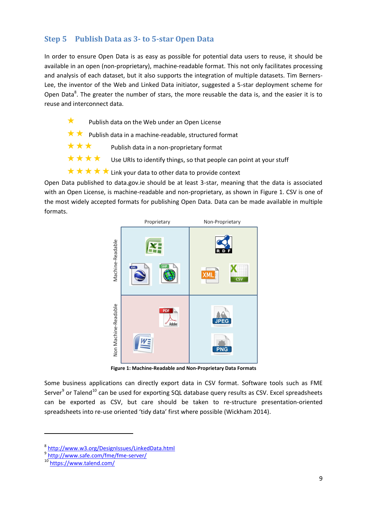# <span id="page-8-0"></span>**Step 5 Publish Data as 3- to 5-star Open Data**

In order to ensure Open Data is as easy as possible for potential data users to reuse, it should be available in an open (non-proprietary), machine-readable format. This not only facilitates processing and analysis of each dataset, but it also supports the integration of multiple datasets. Tim Berners-Lee, the inventor of the Web and Linked Data initiator, suggested a 5-star deployment scheme for Open Data<sup>8</sup>. The greater the number of stars, the more reusable the data is, and the easier it is to reuse and interconnect data.

- Publish data on the Web under an Open License
- $\star \star$  Publish data in a machine-readable, structured format
- $\star \star \star$  Publish data in a non-proprietary format
- $\star \star \star \star$  Use URIs to identify things, so that people can point at your stuff
- $\star \star \star \star$  Link your data to other data to provide context

Open Data published to data.gov.ie should be at least 3-star, meaning that the data is associated with an Open License, is machine-readable and non-proprietary, as shown in [Figure 1.](#page-8-1) CSV is one of the most widely accepted formats for publishing Open Data. Data can be made available in multiple formats.



**Figure 1: Machine-Readable and Non-Proprietary Data Formats**

<span id="page-8-1"></span>Some business applications can directly export data in CSV format. Software tools such as FME Server<sup>9</sup> or Talend<sup>10</sup> can be used for exporting SQL database query results as CSV. Excel spreadsheets can be exported as CSV, but care should be taken to re-structure presentation-oriented spreadsheets into re-use oriented 'tidy data' first where possible (Wickham 2014).

1

<sup>8</sup> <http://www.w3.org/DesignIssues/LinkedData.html>

<sup>&</sup>lt;sup>9</sup> <http://www.safe.com/fme/fme-server/>

<sup>10</sup> <https://www.talend.com/>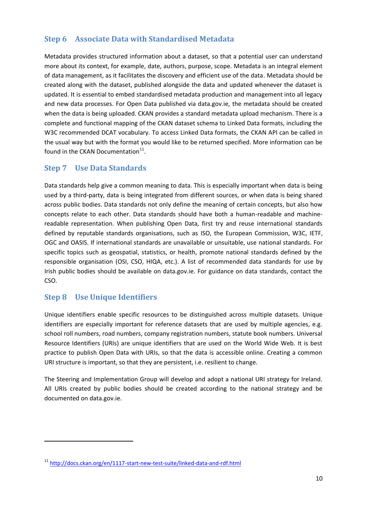# <span id="page-9-0"></span>**Step 6 Associate Data with Standardised Metadata**

Metadata provides structured information about a dataset, so that a potential user can understand more about its context, for example, date, authors, purpose, scope. Metadata is an integral element of data management, as it facilitates the discovery and efficient use of the data. Metadata should be created along with the dataset, published alongside the data and updated whenever the dataset is updated. It is essential to embed standardised metadata production and management into all legacy and new data processes. For Open Data published via data.gov.ie, the metadata should be created when the data is being uploaded. CKAN provides a standard metadata upload mechanism. There is a complete and functional mapping of the CKAN dataset schema to Linked Data formats, including the W3C recommended DCAT vocabulary. To access Linked Data formats, the CKAN API can be called in the usual way but with the format you would like to be returned specified. More information can be found in the CKAN Documentation<sup>11</sup>.

## <span id="page-9-1"></span>**Step 7 Use Data Standards**

Data standards help give a common meaning to data. This is especially important when data is being used by a third-party, data is being integrated from different sources, or when data is being shared across public bodies. Data standards not only define the meaning of certain concepts, but also how concepts relate to each other. Data standards should have both a human-readable and machinereadable representation. When publishing Open Data, first try and reuse international standards defined by reputable standards organisations, such as ISO, the European Commission, W3C, IETF, OGC and OASIS. If international standards are unavailable or unsuitable, use national standards. For specific topics such as geospatial, statistics, or health, promote national standards defined by the responsible organisation (OSI, CSO, HIQA, etc.). A list of recommended data standards for use by Irish public bodies should be available on data.gov.ie. For guidance on data standards, contact the CSO.

# <span id="page-9-2"></span>**Step 8 Use Unique Identifiers**

1

Unique identifiers enable specific resources to be distinguished across multiple datasets. Unique identifiers are especially important for reference datasets that are used by multiple agencies, e.g. school roll numbers, road numbers, company registration numbers, statute book numbers. Universal Resource Identifiers (URIs) are unique identifiers that are used on the World Wide Web. It is best practice to publish Open Data with URIs, so that the data is accessible online. Creating a common URI structure is important, so that they are persistent, i.e. resilient to change.

The Steering and Implementation Group will develop and adopt a national URI strategy for Ireland. All URIs created by public bodies should be created according to the national strategy and be documented on data.gov.ie.

<sup>11</sup> <http://docs.ckan.org/en/1117-start-new-test-suite/linked-data-and-rdf.html>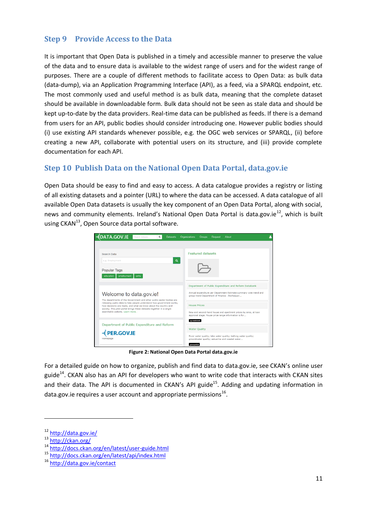# <span id="page-10-0"></span>**Step 9 Provide Access to the Data**

It is important that Open Data is published in a timely and accessible manner to preserve the value of the data and to ensure data is available to the widest range of users and for the widest range of purposes. There are a couple of different methods to facilitate access to Open Data: as bulk data (data-dump), via an Application Programming Interface (API), as a feed, via a SPARQL endpoint, etc. The most commonly used and useful method is as bulk data, meaning that the complete dataset should be available in downloadable form. Bulk data should not be seen as stale data and should be kept up-to-date by the data providers. Real-time data can be published as feeds. If there is a demand from users for an API, public bodies should consider introducing one. However public bodies should (i) use existing API standards whenever possible, e.g. the OGC web services or SPARQL, (ii) before creating a new API, collaborate with potential users on its structure, and (iii) provide complete documentation for each API.

## <span id="page-10-1"></span>**Step 10 Publish Data on the National Open Data Portal, data.gov.ie**

Open Data should be easy to find and easy to access. A data catalogue provides a registry or listing of all existing datasets and a pointer (URL) to where the data can be accessed. A data catalogue of all available Open Data datasets is usually the key component of an Open Data Portal, along with social, news and community elements. Ireland's National Open Data Portal is data.gov.ie<sup>12</sup>, which is built using CKAN $^{13}$ , Open Source data portal software.

| <b>DATA.GOV.IE</b><br>Search datasets.<br>Q<br><b>Datasets</b>                                                                                | Organizations<br>Request<br><b>Groups</b><br>About                                                                      |  |
|-----------------------------------------------------------------------------------------------------------------------------------------------|-------------------------------------------------------------------------------------------------------------------------|--|
|                                                                                                                                               |                                                                                                                         |  |
| Search Data                                                                                                                                   | <b>Featured datasets</b>                                                                                                |  |
| $\alpha$<br>e.g. Employment                                                                                                                   |                                                                                                                         |  |
| <b>Popular Tags</b>                                                                                                                           |                                                                                                                         |  |
| employment<br>education<br>anhs                                                                                                               |                                                                                                                         |  |
|                                                                                                                                               | Department of Public Expenditure and Reform Databank                                                                    |  |
| Welcome to data.gov.ie!                                                                                                                       | Annual expenditure per Department Estimate summary vote trend and<br>group trend Department of Finance - Exchequer      |  |
| The departments of the Government and other public sector bodies are<br>releasing public data to help people understand how government works, |                                                                                                                         |  |
| how decisions are made, and what we know about the country and<br>society. This pilot portal brings these datasets together in a single       | <b>House Prices</b>                                                                                                     |  |
| searchable website. Learn more                                                                                                                | New and second-hand house and apartment prices by area, at loan<br>approval stage. House price range information is for |  |
| Department of Public Expenditure and Reform                                                                                                   | spreadsheet                                                                                                             |  |
|                                                                                                                                               | <b>Water Quality</b>                                                                                                    |  |
| <b>PER.GOV.IE</b><br>Homepage                                                                                                                 | River water quality; lake water quality; bathing water quality;<br>groundwater quality; estuarine and coastal water     |  |
|                                                                                                                                               | ocosoatial                                                                                                              |  |

**Figure 2: National Open Data Portal data.gov.ie**

For a detailed guide on how to organize, publish and find data to data.gov.ie, see CKAN's online user guide<sup>14</sup>. CKAN also has an API for developers who want to write code that interacts with CKAN sites and their data. The API is documented in CKAN's API guide<sup>15</sup>. Adding and updating information in data.gov.ie requires a user account and appropriate permissions $^{16}$ .

.

<sup>12</sup> <http://data.gov.ie/>

<sup>13</sup> <http://ckan.org/>

<sup>14</sup> <http://docs.ckan.org/en/latest/user-guide.html>

<sup>15</sup> <http://docs.ckan.org/en/latest/api/index.html>

<sup>16</sup> <http://data.gov.ie/contact>